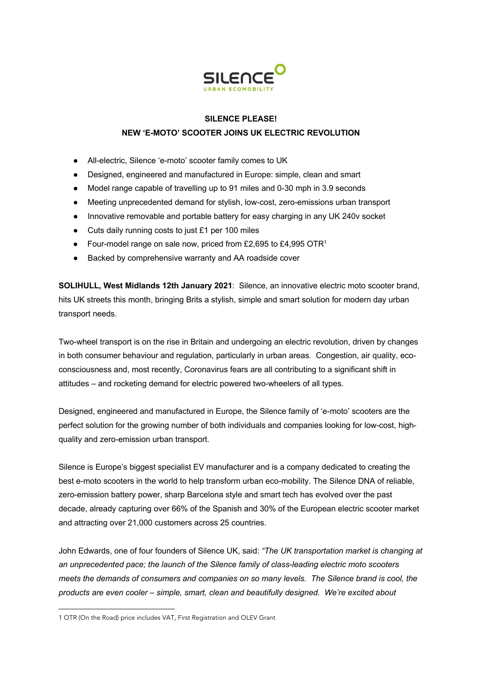

# **SILENCE PLEASE! NEW 'E-MOTO' SCOOTER JOINS UK ELECTRIC REVOLUTION**

- All-electric, Silence 'e-moto' scooter family comes to UK
- Designed, engineered and manufactured in Europe: simple, clean and smart
- Model range capable of travelling up to 91 miles and 0-30 mph in 3.9 seconds
- Meeting unprecedented demand for stylish, low-cost, zero-emissions urban transport
- Innovative removable and portable battery for easy charging in any UK 240v socket
- Cuts daily running costs to just £1 per 100 miles
- Four-model range on sale now, priced from £2,695 to £4,995 OTR<sup>1</sup>
- Backed by comprehensive warranty and AA roadside cover

**SOLIHULL, West Midlands 12th January 2021**: Silence, an innovative electric moto scooter brand, hits UK streets this month, bringing Brits a stylish, simple and smart solution for modern day urban transport needs.

Two-wheel transport is on the rise in Britain and undergoing an electric revolution, driven by changes in both consumer behaviour and regulation, particularly in urban areas. Congestion, air quality, ecoconsciousness and, most recently, Coronavirus fears are all contributing to a significant shift in attitudes – and rocketing demand for electric powered two-wheelers of all types.

Designed, engineered and manufactured in Europe, the Silence family of 'e-moto' scooters are the perfect solution for the growing number of both individuals and companies looking for low-cost, highquality and zero-emission urban transport.

Silence is Europe's biggest specialist EV manufacturer and is a company dedicated to creating the best e-moto scooters in the world to help transform urban eco-mobility. The Silence DNA of reliable, zero-emission battery power, sharp Barcelona style and smart tech has evolved over the past decade, already capturing over 66% of the Spanish and 30% of the European electric scooter market and attracting over 21,000 customers across 25 countries.

John Edwards, one of four founders of Silence UK, said: *"The UK transportation market is changing at an unprecedented pace; the launch of the Silence family of class-leading electric moto scooters meets the demands of consumers and companies on so many levels. The Silence brand is cool, the products are even cooler – simple, smart, clean and beautifully designed. We're excited about* 

<sup>1</sup> OTR (On the Road) price includes VAT, First Registration and OLEV Grant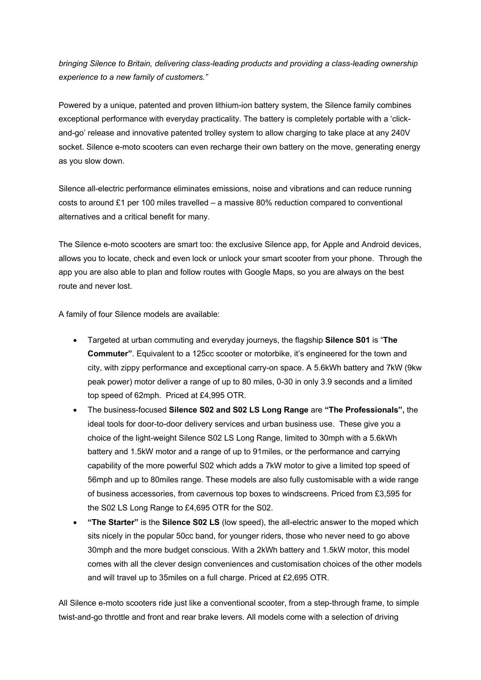*bringing Silence to Britain, delivering class-leading products and providing a class-leading ownership experience to a new family of customers."*

Powered by a unique, patented and proven lithium-ion battery system, the Silence family combines exceptional performance with everyday practicality. The battery is completely portable with a 'clickand-go' release and innovative patented trolley system to allow charging to take place at any 240V socket. Silence e-moto scooters can even recharge their own battery on the move, generating energy as you slow down.

Silence all-electric performance eliminates emissions, noise and vibrations and can reduce running costs to around £1 per 100 miles travelled – a massive 80% reduction compared to conventional alternatives and a critical benefit for many.

The Silence e-moto scooters are smart too: the exclusive Silence app, for Apple and Android devices, allows you to locate, check and even lock or unlock your smart scooter from your phone. Through the app you are also able to plan and follow routes with Google Maps, so you are always on the best route and never lost.

A family of four Silence models are available:

- Targeted at urban commuting and everyday journeys, the flagship **Silence S01** is "**The Commuter"**. Equivalent to a 125cc scooter or motorbike, it's engineered for the town and city, with zippy performance and exceptional carry-on space. A 5.6kWh battery and 7kW (9kw peak power) motor deliver a range of up to 80 miles, 0-30 in only 3.9 seconds and a limited top speed of 62mph. Priced at £4,995 OTR.
- The business-focused **Silence S02 and S02 LS Long Range** are **"The Professionals",** the ideal tools for door-to-door delivery services and urban business use. These give you a choice of the light-weight Silence S02 LS Long Range, limited to 30mph with a 5.6kWh battery and 1.5kW motor and a range of up to 91miles, or the performance and carrying capability of the more powerful S02 which adds a 7kW motor to give a limited top speed of 56mph and up to 80miles range. These models are also fully customisable with a wide range of business accessories, from cavernous top boxes to windscreens. Priced from £3,595 for the S02 LS Long Range to £4,695 OTR for the S02.
- **"The Starter"** is the **Silence S02 LS** (low speed), the all-electric answer to the moped which sits nicely in the popular 50cc band, for younger riders, those who never need to go above 30mph and the more budget conscious. With a 2kWh battery and 1.5kW motor, this model comes with all the clever design conveniences and customisation choices of the other models and will travel up to 35miles on a full charge. Priced at £2,695 OTR.

All Silence e-moto scooters ride just like a conventional scooter, from a step-through frame, to simple twist-and-go throttle and front and rear brake levers. All models come with a selection of driving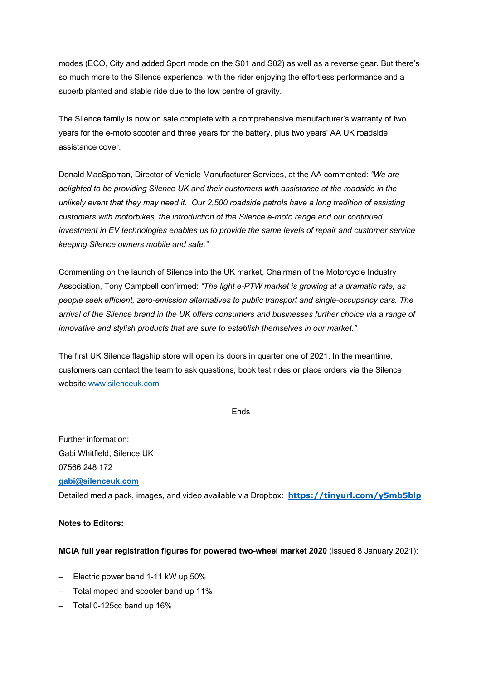modes (ECO, City and added Sport mode on the S01 and S02) as well as a reverse gear. But there's so much more to the Silence experience, with the rider enjoying the effortless performance and a superb planted and stable ride due to the low centre of gravity.

The Silence family is now on sale complete with a comprehensive manufacturer's warranty of two years for the e-moto scooter and three years for the battery, plus two years' AA UK roadside assistance cover.

Donald MacSporran, Director of Vehicle Manufacturer Services, at the AA commented: *"We are delighted to be providing Silence UK and their customers with assistance at the roadside in the unlikely event that they may need it. Our 2,500 roadside patrols have a long tradition of assisting customers with motorbikes, the introduction of the Silence e-moto range and our continued investment in EV technologies enables us to provide the same levels of repair and customer service keeping Silence owners mobile and safe."*

Commenting on the launch of Silence into the UK market, Chairman of the Motorcycle Industry Association, Tony Campbell confirmed: *"The light e-PTW market is growing at a dramatic rate, as people seek efficient, zero-emission alternatives to public transport and single-occupancy cars. The arrival of the Silence brand in the UK offers consumers and businesses further choice via a range of innovative and stylish products that are sure to establish themselves in our market."*

The first UK Silence flagship store will open its doors in quarter one of 2021. In the meantime, customers can contact the team to ask questions, book test rides or place orders via the Silence website www.silenceuk.com

### Ends

Further information: Gabi Whitfield, Silence UK 07566 248 172 **gabi@silenceuk.com** Detailed media pack, images, and video available via Dropbox: **https://tinyurl.com/y5mb5blp**

#### **Notes to Editors:**

#### **MCIA full year registration figures for powered two-wheel market 2020** (issued 8 January 2021):

- Electric power band 1-11 kW up 50%
- Total moped and scooter band up 11%
- Total 0-125cc band up 16%